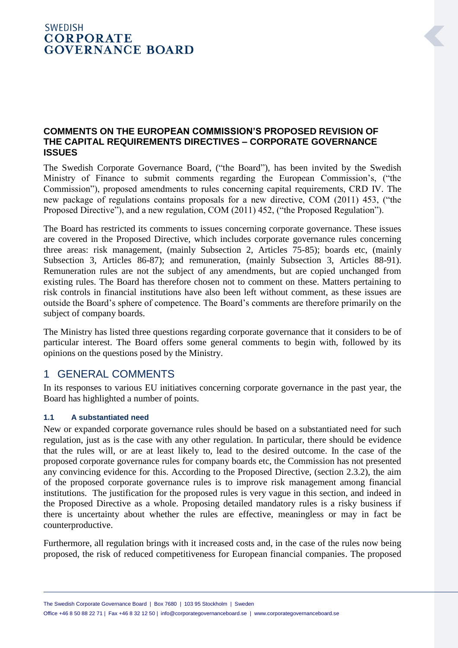## **SWEDISH CORPORATE GOVERNANCE BOARD**

## **COMMENTS ON THE EUROPEAN COMMISSION'S PROPOSED REVISION OF THE CAPITAL REQUIREMENTS DIRECTIVES – CORPORATE GOVERNANCE ISSUES**

The Swedish Corporate Governance Board, ("the Board"), has been invited by the Swedish Ministry of Finance to submit comments regarding the European Commission's, ("the Commission"), proposed amendments to rules concerning capital requirements, CRD IV. The new package of regulations contains proposals for a new directive, COM (2011) 453, ("the Proposed Directive"), and a new regulation, COM (2011) 452, ("the Proposed Regulation").

The Board has restricted its comments to issues concerning corporate governance. These issues are covered in the Proposed Directive, which includes corporate governance rules concerning three areas: risk management, (mainly Subsection 2, Articles 75-85); boards etc, (mainly Subsection 3, Articles 86-87); and remuneration, (mainly Subsection 3, Articles 88-91). Remuneration rules are not the subject of any amendments, but are copied unchanged from existing rules. The Board has therefore chosen not to comment on these. Matters pertaining to risk controls in financial institutions have also been left without comment, as these issues are outside the Board's sphere of competence. The Board's comments are therefore primarily on the subject of company boards.

The Ministry has listed three questions regarding corporate governance that it considers to be of particular interest. The Board offers some general comments to begin with, followed by its opinions on the questions posed by the Ministry.

## 1 GENERAL COMMENTS

In its responses to various EU initiatives concerning corporate governance in the past year, the Board has highlighted a number of points.

## **1.1 A substantiated need**

New or expanded corporate governance rules should be based on a substantiated need for such regulation, just as is the case with any other regulation. In particular, there should be evidence that the rules will, or are at least likely to, lead to the desired outcome. In the case of the proposed corporate governance rules for company boards etc, the Commission has not presented any convincing evidence for this. According to the Proposed Directive, (section 2.3.2), the aim of the proposed corporate governance rules is to improve risk management among financial institutions. The justification for the proposed rules is very vague in this section, and indeed in the Proposed Directive as a whole. Proposing detailed mandatory rules is a risky business if there is uncertainty about whether the rules are effective, meaningless or may in fact be counterproductive.

Furthermore, all regulation brings with it increased costs and, in the case of the rules now being proposed, the risk of reduced competitiveness for European financial companies. The proposed

The Swedish Corporate Governance Board | Box 7680 | 103 95 Stockholm | Sweden Office +46 8 50 88 22 71 | Fax +46 8 32 12 50 | info@corporategovernanceboard.se | www.corporategovernanceboard.se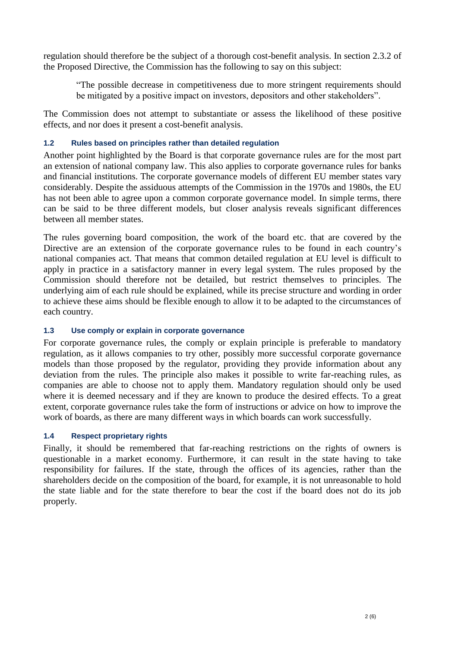regulation should therefore be the subject of a thorough cost-benefit analysis. In section 2.3.2 of the Proposed Directive, the Commission has the following to say on this subject:

"The possible decrease in competitiveness due to more stringent requirements should be mitigated by a positive impact on investors, depositors and other stakeholders".

The Commission does not attempt to substantiate or assess the likelihood of these positive effects, and nor does it present a cost-benefit analysis.

### **1.2 Rules based on principles rather than detailed regulation**

Another point highlighted by the Board is that corporate governance rules are for the most part an extension of national company law. This also applies to corporate governance rules for banks and financial institutions. The corporate governance models of different EU member states vary considerably. Despite the assiduous attempts of the Commission in the 1970s and 1980s, the EU has not been able to agree upon a common corporate governance model. In simple terms, there can be said to be three different models, but closer analysis reveals significant differences between all member states.

The rules governing board composition, the work of the board etc. that are covered by the Directive are an extension of the corporate governance rules to be found in each country's national companies act. That means that common detailed regulation at EU level is difficult to apply in practice in a satisfactory manner in every legal system. The rules proposed by the Commission should therefore not be detailed, but restrict themselves to principles. The underlying aim of each rule should be explained, while its precise structure and wording in order to achieve these aims should be flexible enough to allow it to be adapted to the circumstances of each country.

#### **1.3 Use comply or explain in corporate governance**

For corporate governance rules, the comply or explain principle is preferable to mandatory regulation, as it allows companies to try other, possibly more successful corporate governance models than those proposed by the regulator, providing they provide information about any deviation from the rules. The principle also makes it possible to write far-reaching rules, as companies are able to choose not to apply them. Mandatory regulation should only be used where it is deemed necessary and if they are known to produce the desired effects. To a great extent, corporate governance rules take the form of instructions or advice on how to improve the work of boards, as there are many different ways in which boards can work successfully.

#### **1.4 Respect proprietary rights**

Finally, it should be remembered that far-reaching restrictions on the rights of owners is questionable in a market economy. Furthermore, it can result in the state having to take responsibility for failures. If the state, through the offices of its agencies, rather than the shareholders decide on the composition of the board, for example, it is not unreasonable to hold the state liable and for the state therefore to bear the cost if the board does not do its job properly.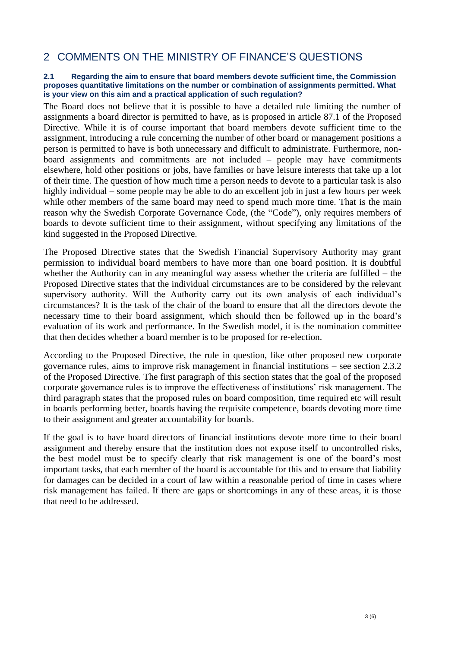# 2 COMMENTS ON THE MINISTRY OF FINANCE'S QUESTIONS

#### **2.1 Regarding the aim to ensure that board members devote sufficient time, the Commission proposes quantitative limitations on the number or combination of assignments permitted. What is your view on this aim and a practical application of such regulation?**

The Board does not believe that it is possible to have a detailed rule limiting the number of assignments a board director is permitted to have, as is proposed in article 87.1 of the Proposed Directive. While it is of course important that board members devote sufficient time to the assignment, introducing a rule concerning the number of other board or management positions a person is permitted to have is both unnecessary and difficult to administrate. Furthermore, nonboard assignments and commitments are not included – people may have commitments elsewhere, hold other positions or jobs, have families or have leisure interests that take up a lot of their time. The question of how much time a person needs to devote to a particular task is also highly individual – some people may be able to do an excellent job in just a few hours per week while other members of the same board may need to spend much more time. That is the main reason why the Swedish Corporate Governance Code, (the "Code"), only requires members of boards to devote sufficient time to their assignment, without specifying any limitations of the kind suggested in the Proposed Directive.

The Proposed Directive states that the Swedish Financial Supervisory Authority may grant permission to individual board members to have more than one board position. It is doubtful whether the Authority can in any meaningful way assess whether the criteria are fulfilled – the Proposed Directive states that the individual circumstances are to be considered by the relevant supervisory authority. Will the Authority carry out its own analysis of each individual's circumstances? It is the task of the chair of the board to ensure that all the directors devote the necessary time to their board assignment, which should then be followed up in the board's evaluation of its work and performance. In the Swedish model, it is the nomination committee that then decides whether a board member is to be proposed for re-election.

According to the Proposed Directive, the rule in question, like other proposed new corporate governance rules, aims to improve risk management in financial institutions – see section 2.3.2 of the Proposed Directive. The first paragraph of this section states that the goal of the proposed corporate governance rules is to improve the effectiveness of institutions' risk management. The third paragraph states that the proposed rules on board composition, time required etc will result in boards performing better, boards having the requisite competence, boards devoting more time to their assignment and greater accountability for boards.

If the goal is to have board directors of financial institutions devote more time to their board assignment and thereby ensure that the institution does not expose itself to uncontrolled risks, the best model must be to specify clearly that risk management is one of the board's most important tasks, that each member of the board is accountable for this and to ensure that liability for damages can be decided in a court of law within a reasonable period of time in cases where risk management has failed. If there are gaps or shortcomings in any of these areas, it is those that need to be addressed.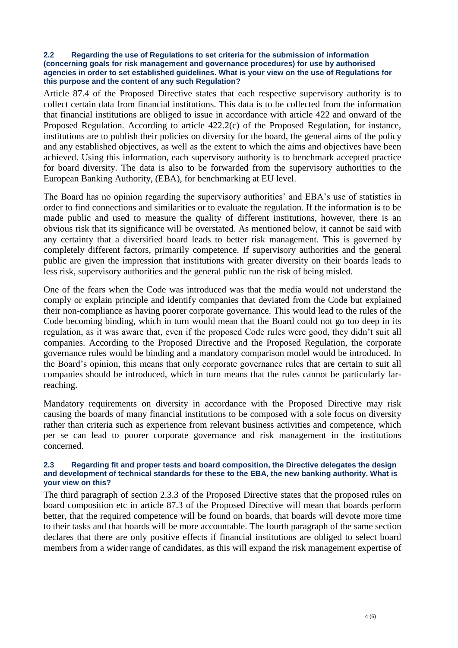#### **2.2 Regarding the use of Regulations to set criteria for the submission of information (concerning goals for risk management and governance procedures) for use by authorised agencies in order to set established guidelines. What is your view on the use of Regulations for this purpose and the content of any such Regulation?**

Article 87.4 of the Proposed Directive states that each respective supervisory authority is to collect certain data from financial institutions. This data is to be collected from the information that financial institutions are obliged to issue in accordance with article 422 and onward of the Proposed Regulation. According to article 422.2(c) of the Proposed Regulation, for instance, institutions are to publish their policies on diversity for the board, the general aims of the policy and any established objectives, as well as the extent to which the aims and objectives have been achieved. Using this information, each supervisory authority is to benchmark accepted practice for board diversity. The data is also to be forwarded from the supervisory authorities to the European Banking Authority, (EBA), for benchmarking at EU level.

The Board has no opinion regarding the supervisory authorities' and EBA's use of statistics in order to find connections and similarities or to evaluate the regulation. If the information is to be made public and used to measure the quality of different institutions, however, there is an obvious risk that its significance will be overstated. As mentioned below, it cannot be said with any certainty that a diversified board leads to better risk management. This is governed by completely different factors, primarily competence. If supervisory authorities and the general public are given the impression that institutions with greater diversity on their boards leads to less risk, supervisory authorities and the general public run the risk of being misled.

One of the fears when the Code was introduced was that the media would not understand the comply or explain principle and identify companies that deviated from the Code but explained their non-compliance as having poorer corporate governance. This would lead to the rules of the Code becoming binding, which in turn would mean that the Board could not go too deep in its regulation, as it was aware that, even if the proposed Code rules were good, they didn't suit all companies. According to the Proposed Directive and the Proposed Regulation, the corporate governance rules would be binding and a mandatory comparison model would be introduced. In the Board's opinion, this means that only corporate governance rules that are certain to suit all companies should be introduced, which in turn means that the rules cannot be particularly farreaching.

Mandatory requirements on diversity in accordance with the Proposed Directive may risk causing the boards of many financial institutions to be composed with a sole focus on diversity rather than criteria such as experience from relevant business activities and competence, which per se can lead to poorer corporate governance and risk management in the institutions concerned.

#### **2.3 Regarding fit and proper tests and board composition, the Directive delegates the design and development of technical standards for these to the EBA, the new banking authority. What is your view on this?**

The third paragraph of section 2.3.3 of the Proposed Directive states that the proposed rules on board composition etc in article 87.3 of the Proposed Directive will mean that boards perform better, that the required competence will be found on boards, that boards will devote more time to their tasks and that boards will be more accountable. The fourth paragraph of the same section declares that there are only positive effects if financial institutions are obliged to select board members from a wider range of candidates, as this will expand the risk management expertise of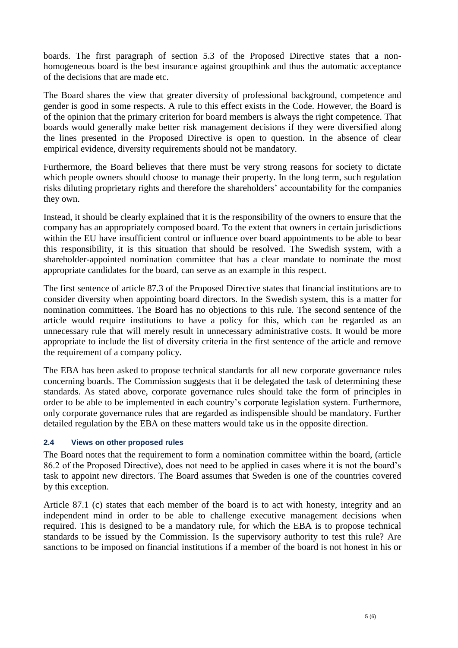boards. The first paragraph of section 5.3 of the Proposed Directive states that a nonhomogeneous board is the best insurance against groupthink and thus the automatic acceptance of the decisions that are made etc.

The Board shares the view that greater diversity of professional background, competence and gender is good in some respects. A rule to this effect exists in the Code. However, the Board is of the opinion that the primary criterion for board members is always the right competence. That boards would generally make better risk management decisions if they were diversified along the lines presented in the Proposed Directive is open to question. In the absence of clear empirical evidence, diversity requirements should not be mandatory.

Furthermore, the Board believes that there must be very strong reasons for society to dictate which people owners should choose to manage their property. In the long term, such regulation risks diluting proprietary rights and therefore the shareholders' accountability for the companies they own.

Instead, it should be clearly explained that it is the responsibility of the owners to ensure that the company has an appropriately composed board. To the extent that owners in certain jurisdictions within the EU have insufficient control or influence over board appointments to be able to bear this responsibility, it is this situation that should be resolved. The Swedish system, with a shareholder-appointed nomination committee that has a clear mandate to nominate the most appropriate candidates for the board, can serve as an example in this respect.

The first sentence of article 87.3 of the Proposed Directive states that financial institutions are to consider diversity when appointing board directors. In the Swedish system, this is a matter for nomination committees. The Board has no objections to this rule. The second sentence of the article would require institutions to have a policy for this, which can be regarded as an unnecessary rule that will merely result in unnecessary administrative costs. It would be more appropriate to include the list of diversity criteria in the first sentence of the article and remove the requirement of a company policy.

The EBA has been asked to propose technical standards for all new corporate governance rules concerning boards. The Commission suggests that it be delegated the task of determining these standards. As stated above, corporate governance rules should take the form of principles in order to be able to be implemented in each country's corporate legislation system. Furthermore, only corporate governance rules that are regarded as indispensible should be mandatory. Further detailed regulation by the EBA on these matters would take us in the opposite direction.

## **2.4 Views on other proposed rules**

The Board notes that the requirement to form a nomination committee within the board, (article 86.2 of the Proposed Directive), does not need to be applied in cases where it is not the board's task to appoint new directors. The Board assumes that Sweden is one of the countries covered by this exception.

Article 87.1 (c) states that each member of the board is to act with honesty, integrity and an independent mind in order to be able to challenge executive management decisions when required. This is designed to be a mandatory rule, for which the EBA is to propose technical standards to be issued by the Commission. Is the supervisory authority to test this rule? Are sanctions to be imposed on financial institutions if a member of the board is not honest in his or